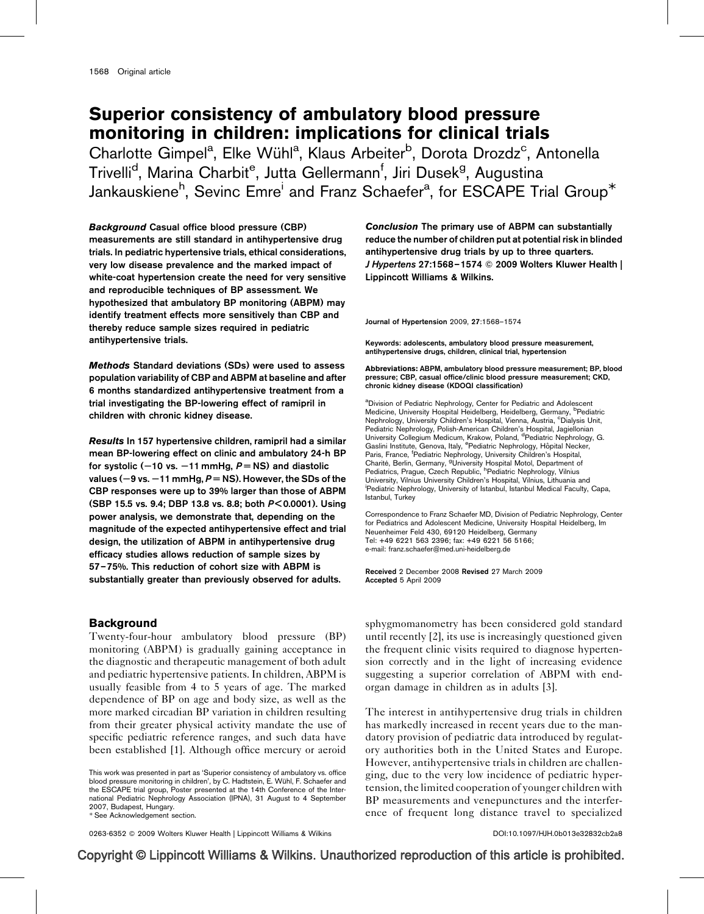# Superior consistency of ambulatory blood pressure monitoring in children: implications for clinical trials

Charlotte Gimpel<sup>a</sup>, Elke Wühl<sup>a</sup>, Klaus Arbeiter<sup>b</sup>, Dorota Drozdz<sup>c</sup>, Antonella Trivelli<sup>d</sup>, Marina Charbit<sup>e</sup>, Jutta Gellermann<sup>f</sup>, Jiri Dusek<sup>g</sup>, Augustina Jankauskiene<sup>h</sup>, Sevinc Emre<sup>i</sup> and Franz Schaefer<sup>a</sup>, for ESCAPE Trial Group<sup>\*</sup>

Background Casual office blood pressure (CBP) measurements are still standard in antihypertensive drug trials. In pediatric hypertensive trials, ethical considerations, very low disease prevalence and the marked impact of white-coat hypertension create the need for very sensitive and reproducible techniques of BP assessment. We hypothesized that ambulatory BP monitoring (ABPM) may identify treatment effects more sensitively than CBP and thereby reduce sample sizes required in pediatric antihypertensive trials.

Methods Standard deviations (SDs) were used to assess population variability of CBP and ABPM at baseline and after 6 months standardized antihypertensive treatment from a trial investigating the BP-lowering effect of ramipril in children with chronic kidney disease.

Results In 157 hypertensive children, ramipril had a similar mean BP-lowering effect on clinic and ambulatory 24-h BP for systolic ( $-10$  vs.  $-11$  mmHg,  $P = NS$ ) and diastolic values ( $-9$  vs.  $-11$  mmHg,  $P = NS$ ). However, the SDs of the CBP responses were up to 39% larger than those of ABPM (SBP 15.5 vs. 9.4; DBP 13.8 vs. 8.8; both P< 0.0001). Using power analysis, we demonstrate that, depending on the magnitude of the expected antihypertensive effect and trial design, the utilization of ABPM in antihypertensive drug efficacy studies allows reduction of sample sizes by 57–75%. This reduction of cohort size with ABPM is substantially greater than previously observed for adults.

## Background

Twenty-four-hour ambulatory blood pressure (BP) monitoring (ABPM) is gradually gaining acceptance in the diagnostic and therapeutic management of both adult and pediatric hypertensive patients. In children, ABPM is usually feasible from 4 to 5 years of age. The marked dependence of BP on age and body size, as well as the more marked circadian BP variation in children resulting from their greater physical activity mandate the use of specific pediatric reference ranges, and such data have been established [\[1\]](#page-5-0). Although office mercury or aeroid

This work was presented in part as 'Superior consistency of ambulatory vs. office blood pressure monitoring in children', by C. Hadtstein, E. Wühl, F. Schaefer and the ESCAPE trial group, Poster presented at the 14th Conference of the International Pediatric Nephrology Association (IPNA), 31 August to 4 September 2007, Budapest, Hungary.

-See Acknowledgement section.

0263-6352 © 2009 Wolters Kluwer Health | Lippincott Williams & Wilkins DOI:[10.1097/HJH.0b013e32832cb2a8](http://dx.doi.org/10.1097/HJH.0b013e32832cb2a8)

Conclusion The primary use of ABPM can substantially reduce the number of children put at potential risk in blinded antihypertensive drug trials by up to three quarters. J Hypertens 27:1568–1574 Q 2009 Wolters Kluwer Health | Lippincott Williams & Wilkins.

Journal of Hypertension 2009, 27:1568–1574

Keywords: adolescents, ambulatory blood pressure measurement, antihypertensive drugs, children, clinical trial, hypertension

Abbreviations: ABPM, ambulatory blood pressure measurement; BP, blood pressure; CBP, casual office/clinic blood pressure measurement; CKD, chronic kidney disease (KDOQI classification)

<sup>a</sup>Division of Pediatric Nephrology, Center for Pediatric and Adolescent Medicine, University Hospital Heidelberg, Heidelberg, Germany, <sup>b</sup>Pediatric Nephrology, University Children's Hospital, Vienna, Austria, <sup>c</sup>Dialysis Unit, Pediatric Nephrology, Polish-American Children's Hospital, Jagiellonian University Collegium Medicum, Krakow, Poland, <sup>d</sup>Pediatric Nephrology, G. Gaslini Institute, Genova, Italy, <sup>e</sup>Pediatric Nephrology, Hôpital Necker, Paris, France, <sup>f</sup>Pediatric Nephrology, University Children's Hospital, Charité, Berlin, Germany, <sup>g</sup>University Hospital Motol, Department of<br>Pediatrics, Prague, Czech Republic, <sup>h</sup>Pediatric Nephrology, Vilnius University, Vilnius University Children's Hospital, Vilnius, Lithuania and i Pediatric Nephrology, University of Istanbul, Istanbul Medical Faculty, Capa, Istanbul, Turkey

Correspondence to Franz Schaefer MD, Division of Pediatric Nephrology, Center for Pediatrics and Adolescent Medicine, University Hospital Heidelberg, Im Neuenheimer Feld 430, 69120 Heidelberg, Germany Tel: +49 6221 563 2396; fax: +49 6221 56 5166; e-mail: [franz.schaefer@med.uni-heidelberg.de](mailto:franz.schaefer@med.uni-heidelberg.de)

Received 2 December 2008 Revised 27 March 2009 Accepted 5 April 2009

sphygmomanometry has been considered gold standard until recently [\[2\],](#page-5-0) its use is increasingly questioned given the frequent clinic visits required to diagnose hypertension correctly and in the light of increasing evidence suggesting a superior correlation of ABPM with endorgan damage in children as in adults [\[3\]](#page-5-0).

The interest in antihypertensive drug trials in children has markedly increased in recent years due to the mandatory provision of pediatric data introduced by regulatory authorities both in the United States and Europe. However, antihypertensive trials in children are challenging, due to the very low incidence of pediatric hypertension, the limited cooperation of younger children with BP measurements and venepunctures and the interference of frequent long distance travel to specialized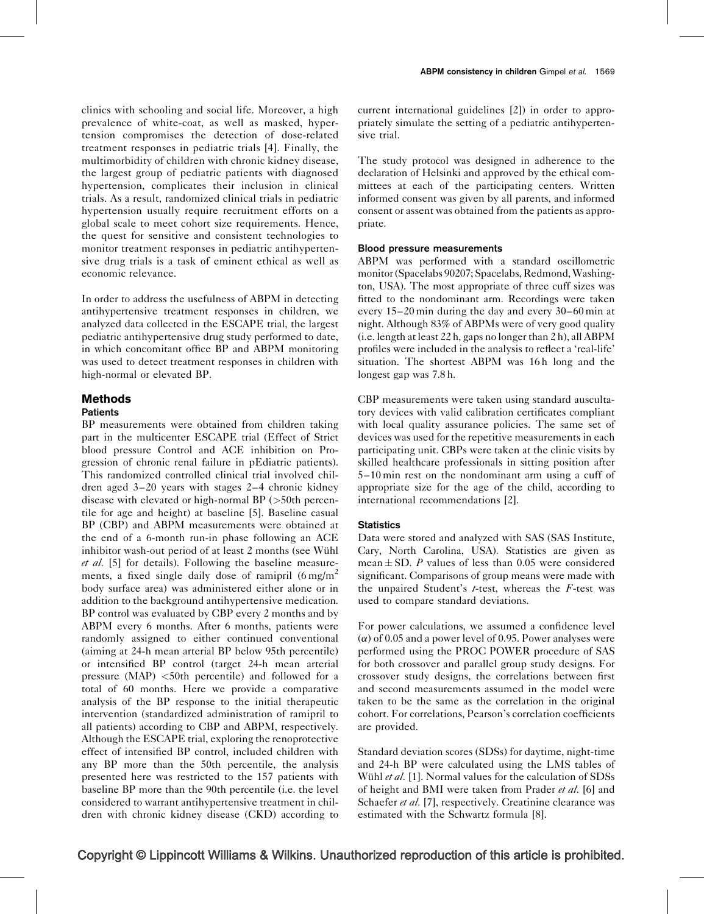clinics with schooling and social life. Moreover, a high prevalence of white-coat, as well as masked, hypertension compromises the detection of dose-related treatment responses in pediatric trials [\[4\].](#page-5-0) Finally, the multimorbidity of children with chronic kidney disease, the largest group of pediatric patients with diagnosed hypertension, complicates their inclusion in clinical trials. As a result, randomized clinical trials in pediatric hypertension usually require recruitment efforts on a global scale to meet cohort size requirements. Hence, the quest for sensitive and consistent technologies to monitor treatment responses in pediatric antihypertensive drug trials is a task of eminent ethical as well as economic relevance.

In order to address the usefulness of ABPM in detecting antihypertensive treatment responses in children, we analyzed data collected in the ESCAPE trial, the largest pediatric antihypertensive drug study performed to date, in which concomitant office BP and ABPM monitoring was used to detect treatment responses in children with high-normal or elevated BP.

## Methods

## **Patients**

BP measurements were obtained from children taking part in the multicenter ESCAPE trial (Effect of Strict blood pressure Control and ACE inhibition on Progression of chronic renal failure in pEdiatric patients). This randomized controlled clinical trial involved children aged 3–20 years with stages 2–4 chronic kidney disease with elevated or high-normal BP (>50th percentile for age and height) at baseline [\[5\]](#page-6-0). Baseline casual BP (CBP) and ABPM measurements were obtained at the end of a 6-month run-in phase following an ACE inhibitor wash-out period of at least 2 months (see Wühl et al. [\[5\]](#page-6-0) for details). Following the baseline measurements, a fixed single daily dose of ramipril  $(6 \text{ mg/m}^2)$ body surface area) was administered either alone or in addition to the background antihypertensive medication. BP control was evaluated by CBP every 2 months and by ABPM every 6 months. After 6 months, patients were randomly assigned to either continued conventional (aiming at 24-h mean arterial BP below 95th percentile) or intensified BP control (target 24-h mean arterial pressure (MAP) <50th percentile) and followed for a total of 60 months. Here we provide a comparative analysis of the BP response to the initial therapeutic intervention (standardized administration of ramipril to all patients) according to CBP and ABPM, respectively. Although the ESCAPE trial, exploring the renoprotective effect of intensified BP control, included children with any BP more than the 50th percentile, the analysis presented here was restricted to the 157 patients with baseline BP more than the 90th percentile (i.e. the level considered to warrant antihypertensive treatment in children with chronic kidney disease (CKD) according to

current international guidelines [\[2\]\)](#page-5-0) in order to appropriately simulate the setting of a pediatric antihypertensive trial.

The study protocol was designed in adherence to the declaration of Helsinki and approved by the ethical committees at each of the participating centers. Written informed consent was given by all parents, and informed consent or assent was obtained from the patients as appropriate.

#### Blood pressure measurements

ABPM was performed with a standard oscillometric monitor (Spacelabs 90207; Spacelabs, Redmond,Washington, USA). The most appropriate of three cuff sizes was fitted to the nondominant arm. Recordings were taken every 15–20 min during the day and every 30–60 min at night. Although 83% of ABPMs were of very good quality (i.e. length at least 22 h, gaps no longer than 2 h), all ABPM profiles were included in the analysis to reflect a 'real-life' situation. The shortest ABPM was 16h long and the longest gap was 7.8 h.

CBP measurements were taken using standard auscultatory devices with valid calibration certificates compliant with local quality assurance policies. The same set of devices was used for the repetitive measurements in each participating unit. CBPs were taken at the clinic visits by skilled healthcare professionals in sitting position after 5–10 min rest on the nondominant arm using a cuff of appropriate size for the age of the child, according to international recommendations [\[2\]](#page-5-0).

#### **Statistics**

Data were stored and analyzed with SAS (SAS Institute, Cary, North Carolina, USA). Statistics are given as mean  $\pm$  SD. P values of less than 0.05 were considered significant. Comparisons of group means were made with the unpaired Student's  $t$ -test, whereas the  $F$ -test was used to compare standard deviations.

For power calculations, we assumed a confidence level  $(\alpha)$  of 0.05 and a power level of 0.95. Power analyses were performed using the PROC POWER procedure of SAS for both crossover and parallel group study designs. For crossover study designs, the correlations between first and second measurements assumed in the model were taken to be the same as the correlation in the original cohort. For correlations, Pearson's correlation coefficients are provided.

Standard deviation scores (SDSs) for daytime, night-time and 24-h BP were calculated using the LMS tables of Wühl et al. [\[1\]](#page-5-0). Normal values for the calculation of SDSs of height and BMI were taken from Prader et al. [\[6\]](#page-6-0) and Schaefer et al. [\[7\]](#page-6-0), respectively. Creatinine clearance was estimated with the Schwartz formula [\[8\]](#page-6-0).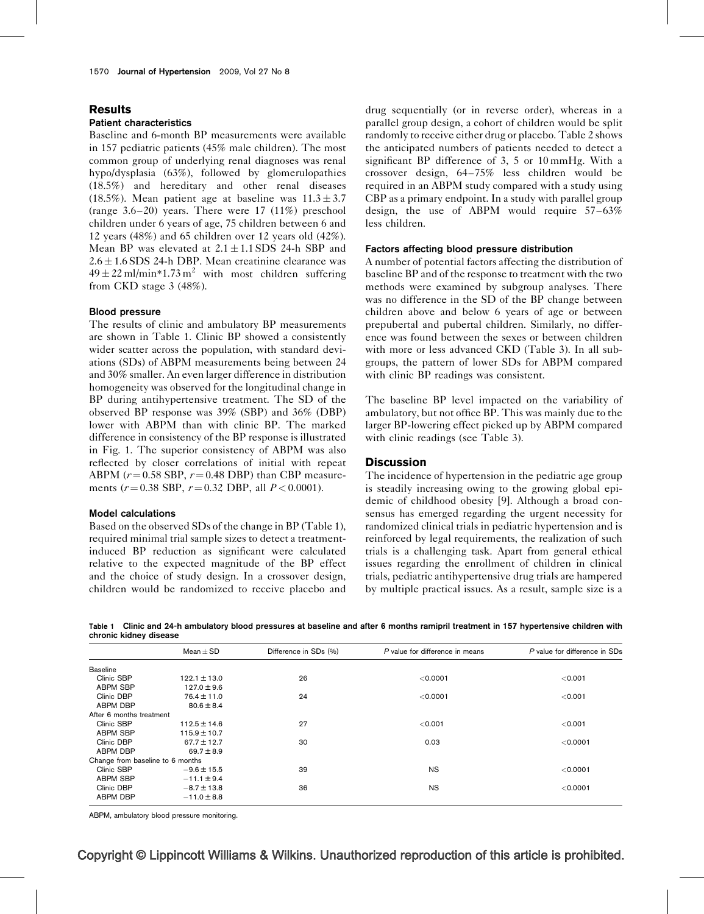#### Results

#### Patient characteristics

Baseline and 6-month BP measurements were available in 157 pediatric patients (45% male children). The most common group of underlying renal diagnoses was renal hypo/dysplasia (63%), followed by glomerulopathies (18.5%) and hereditary and other renal diseases (18.5%). Mean patient age at baseline was  $11.3 \pm 3.7$ (range 3.6–20) years. There were 17 (11%) preschool children under 6 years of age, 75 children between 6 and 12 years (48%) and 65 children over 12 years old (42%). Mean BP was elevated at  $2.1 \pm 1.1$  SDS 24-h SBP and  $2.6 \pm 1.6$  SDS 24-h DBP. Mean creatinine clearance was  $49 \pm 22$  ml/min\*1.73 m<sup>2</sup> with most children suffering from CKD stage 3 (48%).

#### Blood pressure

The results of clinic and ambulatory BP measurements are shown in Table 1. Clinic BP showed a consistently wider scatter across the population, with standard deviations (SDs) of ABPM measurements being between 24 and 30% smaller. An even larger difference in distribution homogeneity was observed for the longitudinal change in BP during antihypertensive treatment. The SD of the observed BP response was 39% (SBP) and 36% (DBP) lower with ABPM than with clinic BP. The marked difference in consistency of the BP response is illustrated in [Fig. 1](#page-3-0). The superior consistency of ABPM was also reflected by closer correlations of initial with repeat ABPM ( $r = 0.58$  SBP,  $r = 0.48$  DBP) than CBP measurements ( $r = 0.38$  SBP,  $r = 0.32$  DBP, all  $P < 0.0001$ ).

#### Model calculations

Based on the observed SDs of the change in BP (Table 1), required minimal trial sample sizes to detect a treatmentinduced BP reduction as significant were calculated relative to the expected magnitude of the BP effect and the choice of study design. In a crossover design, children would be randomized to receive placebo and

drug sequentially (or in reverse order), whereas in a parallel group design, a cohort of children would be split randomly to receive either drug or placebo. [Table 2](#page-3-0) shows the anticipated numbers of patients needed to detect a significant BP difference of 3, 5 or 10 mmHg. With a crossover design, 64–75% less children would be required in an ABPM study compared with a study using CBP as a primary endpoint. In a study with parallel group design, the use of ABPM would require 57–63% less children.

#### Factors affecting blood pressure distribution

A number of potential factors affecting the distribution of baseline BP and of the response to treatment with the two methods were examined by subgroup analyses. There was no difference in the SD of the BP change between children above and below 6 years of age or between prepubertal and pubertal children. Similarly, no difference was found between the sexes or between children with more or less advanced CKD ([Table 3](#page-4-0)). In all subgroups, the pattern of lower SDs for ABPM compared with clinic BP readings was consistent.

The baseline BP level impacted on the variability of ambulatory, but not office BP. This was mainly due to the larger BP-lowering effect picked up by ABPM compared with clinic readings (see [Table 3](#page-4-0)).

#### **Discussion**

The incidence of hypertension in the pediatric age group is steadily increasing owing to the growing global epidemic of childhood obesity [\[9\].](#page-6-0) Although a broad consensus has emerged regarding the urgent necessity for randomized clinical trials in pediatric hypertension and is reinforced by legal requirements, the realization of such trials is a challenging task. Apart from general ethical issues regarding the enrollment of children in clinical trials, pediatric antihypertensive drug trials are hampered by multiple practical issues. As a result, sample size is a

Table 1 Clinic and 24-h ambulatory blood pressures at baseline and after 6 months ramipril treatment in 157 hypertensive children with chronic kidney disease

|                                  | Mean $\pm$ SD    | Difference in SDs (%) | P value for difference in means | P value for difference in SDs |
|----------------------------------|------------------|-----------------------|---------------------------------|-------------------------------|
| <b>Baseline</b>                  |                  |                       |                                 |                               |
| Clinic SBP                       | $122.1 \pm 13.0$ | 26                    | < 0.0001                        | < 0.001                       |
| <b>ABPM SBP</b>                  | $127.0 \pm 9.6$  |                       |                                 |                               |
| Clinic DBP                       | $76.4 \pm 11.0$  | 24                    | < 0.0001                        | < 0.001                       |
| ABPM DBP                         | $80.6 \pm 8.4$   |                       |                                 |                               |
| After 6 months treatment         |                  |                       |                                 |                               |
| Clinic SBP                       | $112.5 \pm 14.6$ | 27                    | < 0.001                         | < 0.001                       |
| <b>ABPM SBP</b>                  | $115.9 \pm 10.7$ |                       |                                 |                               |
| Clinic DBP                       | $67.7 \pm 12.7$  | 30                    | 0.03                            | < 0.0001                      |
| ABPM DBP                         | $69.7 \pm 8.9$   |                       |                                 |                               |
| Change from baseline to 6 months |                  |                       |                                 |                               |
| Clinic SBP                       | $-9.6 \pm 15.5$  | 39                    | <b>NS</b>                       | < 0.0001                      |
| <b>ABPM SBP</b>                  | $-11.1 \pm 9.4$  |                       |                                 |                               |
| Clinic DBP                       | $-8.7 \pm 13.8$  | 36                    | <b>NS</b>                       | < 0.0001                      |
| <b>ABPM DBP</b>                  | $-11.0 \pm 8.8$  |                       |                                 |                               |
|                                  |                  |                       |                                 |                               |

ABPM, ambulatory blood pressure monitoring.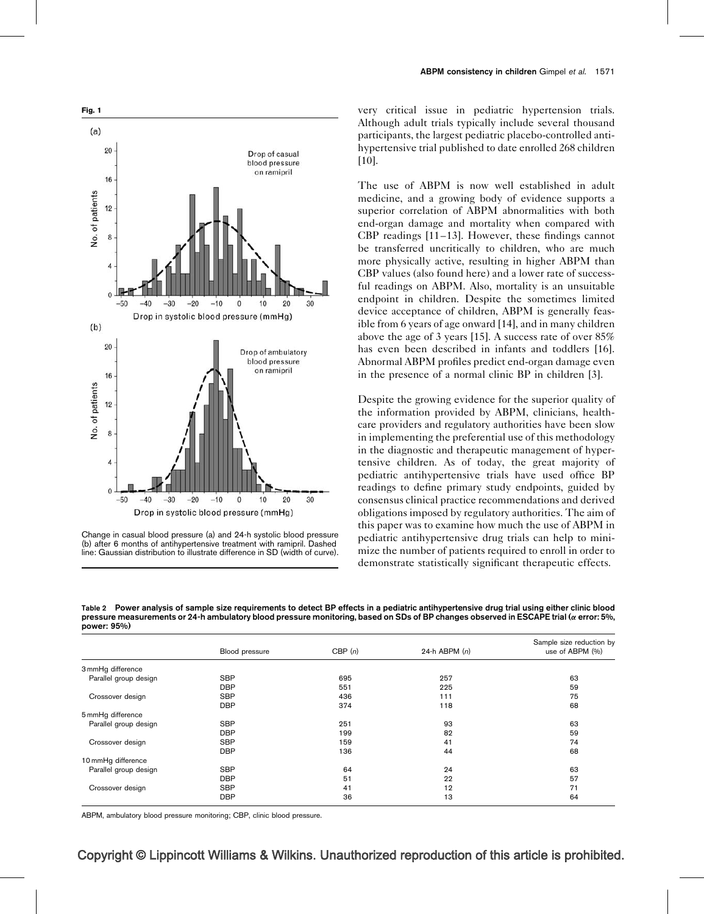<span id="page-3-0"></span>



very critical issue in pediatric hypertension trials. Although adult trials typically include several thousand participants, the largest pediatric placebo-controlled antihypertensive trial published to date enrolled 268 children [\[10\]](#page-6-0).

The use of ABPM is now well established in adult medicine, and a growing body of evidence supports a superior correlation of ABPM abnormalities with both end-organ damage and mortality when compared with CBP readings [\[11–13\].](#page-6-0) However, these findings cannot be transferred uncritically to children, who are much more physically active, resulting in higher ABPM than CBP values (also found here) and a lower rate of successful readings on ABPM. Also, mortality is an unsuitable endpoint in children. Despite the sometimes limited device acceptance of children, ABPM is generally feasible from 6 years of age onward [\[14\],](#page-6-0) and in many children above the age of 3 years [\[15\]](#page-6-0). A success rate of over 85% has even been described in infants and toddlers [\[16\]](#page-6-0). Abnormal ABPM profiles predict end-organ damage even in the presence of a normal clinic BP in children [\[3\].](#page-5-0)

Despite the growing evidence for the superior quality of the information provided by ABPM, clinicians, healthcare providers and regulatory authorities have been slow in implementing the preferential use of this methodology in the diagnostic and therapeutic management of hypertensive children. As of today, the great majority of pediatric antihypertensive trials have used office BP readings to define primary study endpoints, guided by consensus clinical practice recommendations and derived obligations imposed by regulatory authorities. The aim of this paper was to examine how much the use of ABPM in pediatric antihypertensive drug trials can help to minimize the number of patients required to enroll in order to demonstrate statistically significant therapeutic effects.

Table 2 Power analysis of sample size requirements to detect BP effects in a pediatric antihypertensive drug trial using either clinic blood pressure measurements or 24-h ambulatory blood pressure monitoring, based on SDs of BP changes observed in ESCAPE trial ( $\alpha$  error: 5%, power: 95%)

|                       |                |        |                 | Sample size reduction by |
|-----------------------|----------------|--------|-----------------|--------------------------|
|                       | Blood pressure | CBP(n) | 24-h ABPM $(n)$ | use of ABPM (%)          |
| 3 mmHg difference     |                |        |                 |                          |
| Parallel group design | <b>SBP</b>     | 695    | 257             | 63                       |
|                       | <b>DBP</b>     | 551    | 225             | 59                       |
| Crossover design      | <b>SBP</b>     | 436    | 111             | 75                       |
|                       | <b>DBP</b>     | 374    | 118             | 68                       |
| 5 mmHg difference     |                |        |                 |                          |
| Parallel group design | <b>SBP</b>     | 251    | 93              | 63                       |
|                       | <b>DBP</b>     | 199    | 82              | 59                       |
| Crossover design      | <b>SBP</b>     | 159    | 41              | 74                       |
|                       | <b>DBP</b>     | 136    | 44              | 68                       |
| 10mmHg difference     |                |        |                 |                          |
| Parallel group design | <b>SBP</b>     | 64     | 24              | 63                       |
|                       | <b>DBP</b>     | 51     | 22              | 57                       |
| Crossover design      | <b>SBP</b>     | 41     | 12              | 71                       |
|                       | <b>DBP</b>     | 36     | 13              | 64                       |

ABPM, ambulatory blood pressure monitoring; CBP, clinic blood pressure.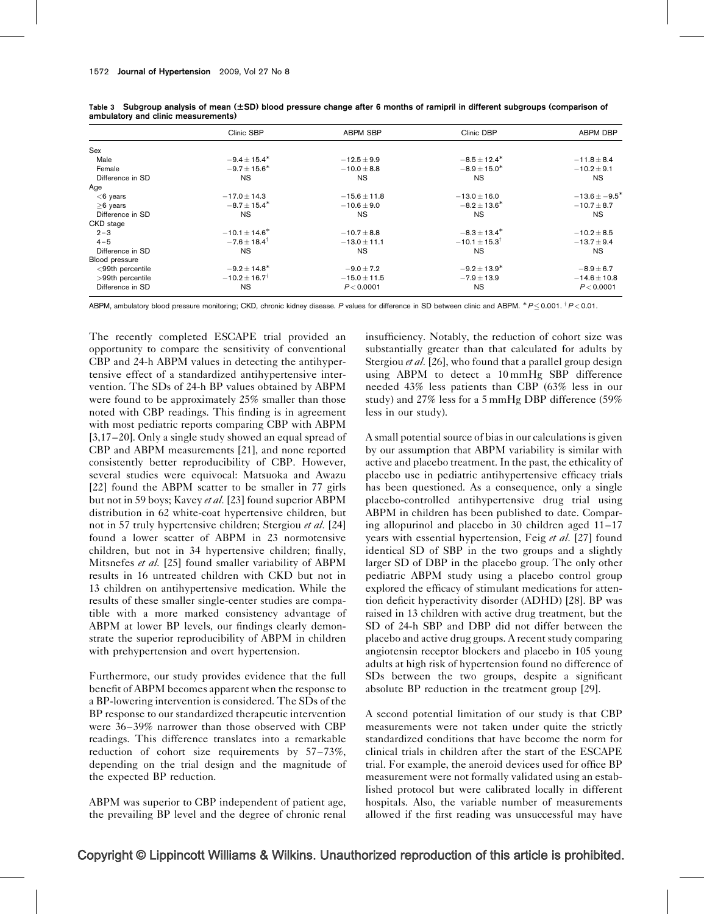|                  | Clinic SBP                 | <b>ABPM SBP</b>  | Clinic DBP                 | <b>ABPM DBP</b>    |
|------------------|----------------------------|------------------|----------------------------|--------------------|
| Sex              |                            |                  |                            |                    |
| Male             | $-9.4 \pm 15.4^*$          | $-12.5 \pm 9.9$  | $-8.5 \pm 12.4*$           | $-11.8 \pm 8.4$    |
| Female           | $-9.7 \pm 15.6^*$          | $-10.0 \pm 8.8$  | $-8.9 \pm 15.0^*$          | $-10.2 \pm 9.1$    |
| Difference in SD | <b>NS</b>                  | <b>NS</b>        | <b>NS</b>                  | NS.                |
| Age              |                            |                  |                            |                    |
| $<$ 6 years      | $-17.0 \pm 14.3$           | $-15.6 \pm 11.8$ | $-13.0 \pm 16.0$           | $-13.6 \pm -9.5^*$ |
| $\geq$ 6 years   | $-8.7 \pm 15.4^*$          | $-10.6 \pm 9.0$  | $-8.2 \pm 13.6^*$          | $-10.7 \pm 8.7$    |
| Difference in SD | <b>NS</b>                  | <b>NS</b>        | <b>NS</b>                  | <b>NS</b>          |
| CKD stage        |                            |                  |                            |                    |
| $2 - 3$          | $-10.1 \pm 14.6^*$         | $-10.7 \pm 8.8$  | $-8.3 \pm 13.4^*$          | $-10.2 \pm 8.5$    |
| $4 - 5$          | $-7.6 + 18.4^{\dagger}$    | $-13.0 \pm 11.1$ | $-10.1 \pm 15.3^{\dagger}$ | $-13.7 \pm 9.4$    |
| Difference in SD | <b>NS</b>                  | <b>NS</b>        | <b>NS</b>                  | NS.                |
| Blood pressure   |                            |                  |                            |                    |
| <99th percentile | $-9.2 \pm 14.8^*$          | $-9.0 \pm 7.2$   | $-9.2 \pm 13.9^*$          | $-8.9 \pm 6.7$     |
| >99th percentile | $-10.2 \pm 16.7^{\dagger}$ | $-15.0 \pm 11.5$ | $-7.9 \pm 13.9$            | $-14.6 \pm 10.8$   |
| Difference in SD | <b>NS</b>                  | P < 0.0001       | <b>NS</b>                  | P < 0.0001         |

<span id="page-4-0"></span>Table 3 Subgroup analysis of mean  $(\pm SD)$  blood pressure change after 6 months of ramipril in different subgroups (comparison of ambulatory and clinic measurements)

<code>ABPM</code>, ambulatory blood pressure monitoring; CKD, chronic kidney disease. P values for difference in SD between clinic and ABPM.  $^*P \leq$  0.001.  $^{\dagger}P$  < 0.01.

The recently completed ESCAPE trial provided an opportunity to compare the sensitivity of conventional CBP and 24-h ABPM values in detecting the antihypertensive effect of a standardized antihypertensive intervention. The SDs of 24-h BP values obtained by ABPM were found to be approximately 25% smaller than those noted with CBP readings. This finding is in agreement with most pediatric reports comparing CBP with ABPM [\[3,17–20\].](#page-5-0) Only a single study showed an equal spread of CBP and ABPM measurements [\[21\],](#page-6-0) and none reported consistently better reproducibility of CBP. However, several studies were equivocal: Matsuoka and Awazu [\[22\]](#page-6-0) found the ABPM scatter to be smaller in 77 girls but not in 59 boys; Kavey et al. [\[23\]](#page-6-0) found superior ABPM distribution in 62 white-coat hypertensive children, but not in 57 truly hypertensive children; Stergiou et al. [\[24\]](#page-6-0) found a lower scatter of ABPM in 23 normotensive children, but not in 34 hypertensive children; finally, Mitsnefes et al. [\[25\]](#page-6-0) found smaller variability of ABPM results in 16 untreated children with CKD but not in 13 children on antihypertensive medication. While the results of these smaller single-center studies are compatible with a more marked consistency advantage of ABPM at lower BP levels, our findings clearly demonstrate the superior reproducibility of ABPM in children with prehypertension and overt hypertension.

Furthermore, our study provides evidence that the full benefit of ABPM becomes apparent when the response to a BP-lowering intervention is considered. The SDs of the BP response to our standardized therapeutic intervention were 36–39% narrower than those observed with CBP readings. This difference translates into a remarkable reduction of cohort size requirements by 57–73%, depending on the trial design and the magnitude of the expected BP reduction.

ABPM was superior to CBP independent of patient age, the prevailing BP level and the degree of chronic renal

insufficiency. Notably, the reduction of cohort size was substantially greater than that calculated for adults by Stergiou et al. [\[26\],](#page-6-0) who found that a parallel group design using ABPM to detect a 10 mmHg SBP difference needed 43% less patients than CBP (63% less in our study) and 27% less for a 5 mmHg DBP difference (59% less in our study).

A small potential source of bias in our calculations is given by our assumption that ABPM variability is similar with active and placebo treatment. In the past, the ethicality of placebo use in pediatric antihypertensive efficacy trials has been questioned. As a consequence, only a single placebo-controlled antihypertensive drug trial using ABPM in children has been published to date. Comparing allopurinol and placebo in 30 children aged 11–17 years with essential hypertension, Feig et al. [\[27\]](#page-6-0) found identical SD of SBP in the two groups and a slightly larger SD of DBP in the placebo group. The only other pediatric ABPM study using a placebo control group explored the efficacy of stimulant medications for attention deficit hyperactivity disorder (ADHD) [\[28\]](#page-6-0). BP was raised in 13 children with active drug treatment, but the SD of 24-h SBP and DBP did not differ between the placebo and active drug groups. A recent study comparing angiotensin receptor blockers and placebo in 105 young adults at high risk of hypertension found no difference of SDs between the two groups, despite a significant absolute BP reduction in the treatment group [\[29\]](#page-6-0).

A second potential limitation of our study is that CBP measurements were not taken under quite the strictly standardized conditions that have become the norm for clinical trials in children after the start of the ESCAPE trial. For example, the aneroid devices used for office BP measurement were not formally validated using an established protocol but were calibrated locally in different hospitals. Also, the variable number of measurements allowed if the first reading was unsuccessful may have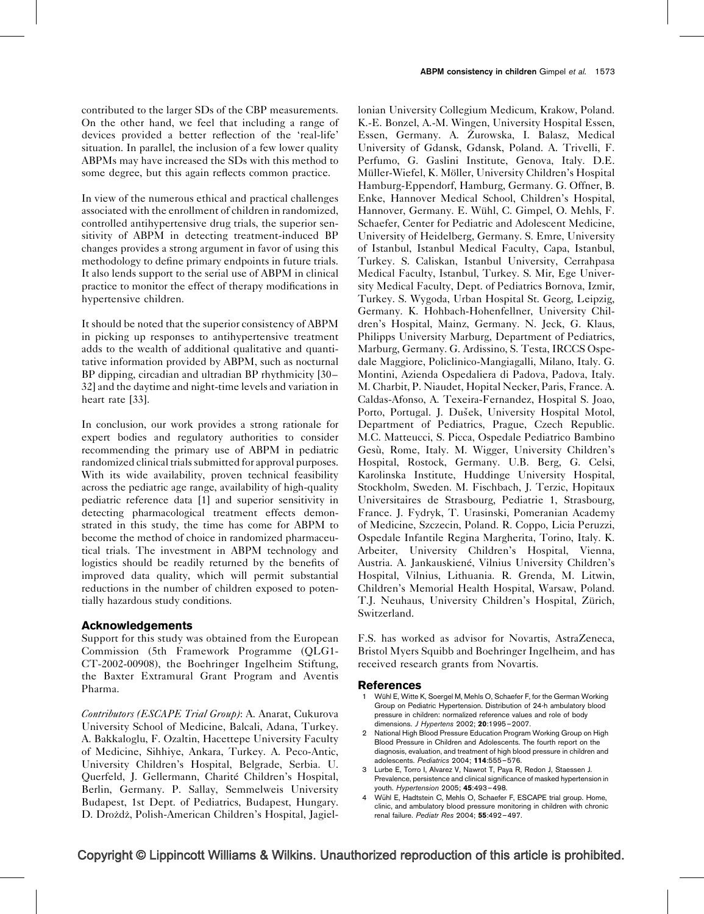<span id="page-5-0"></span>contributed to the larger SDs of the CBP measurements. On the other hand, we feel that including a range of devices provided a better reflection of the 'real-life' situation. In parallel, the inclusion of a few lower quality ABPMs may have increased the SDs with this method to some degree, but this again reflects common practice.

In view of the numerous ethical and practical challenges associated with the enrollment of children in randomized, controlled antihypertensive drug trials, the superior sensitivity of ABPM in detecting treatment-induced BP changes provides a strong argument in favor of using this methodology to define primary endpoints in future trials. It also lends support to the serial use of ABPM in clinical practice to monitor the effect of therapy modifications in hypertensive children.

It should be noted that the superior consistency of ABPM in picking up responses to antihypertensive treatment adds to the wealth of additional qualitative and quantitative information provided by ABPM, such as nocturnal BP dipping, circadian and ultradian BP rhythmicity [\[30–](#page-6-0) [32\]](#page-6-0) and the daytime and night-time levels and variation in heart rate [\[33\].](#page-6-0)

In conclusion, our work provides a strong rationale for expert bodies and regulatory authorities to consider recommending the primary use of ABPM in pediatric randomized clinical trials submitted for approval purposes. With its wide availability, proven technical feasibility across the pediatric age range, availability of high-quality pediatric reference data [1] and superior sensitivity in detecting pharmacological treatment effects demonstrated in this study, the time has come for ABPM to become the method of choice in randomized pharmaceutical trials. The investment in ABPM technology and logistics should be readily returned by the benefits of improved data quality, which will permit substantial reductions in the number of children exposed to potentially hazardous study conditions.

#### Acknowledgements

Support for this study was obtained from the European Commission (5th Framework Programme (QLG1- CT-2002-00908), the Boehringer Ingelheim Stiftung, the Baxter Extramural Grant Program and Aventis Pharma.

Contributors (ESCAPE Trial Group): A. Anarat, Cukurova University School of Medicine, Balcali, Adana, Turkey. A. Bakkaloglu, F. Ozaltin, Hacettepe University Faculty of Medicine, Sihhiye, Ankara, Turkey. A. Peco-Antic, University Children's Hospital, Belgrade, Serbia. U. Querfeld, J. Gellermann, Charité Children's Hospital, Berlin, Germany. P. Sallay, Semmelweis University Budapest, 1st Dept. of Pediatrics, Budapest, Hungary. D. Drożdż, Polish-American Children's Hospital, Jagiellonian University Collegium Medicum, Krakow, Poland. K.-E. Bonzel, A.-M. Wingen, University Hospital Essen, Essen, Germany. A. Żurowska, I. Balasz, Medical University of Gdansk, Gdansk, Poland. A. Trivelli, F. Perfumo, G. Gaslini Institute, Genova, Italy. D.E. Müller-Wiefel, K. Möller, University Children's Hospital Hamburg-Eppendorf, Hamburg, Germany. G. Offner, B. Enke, Hannover Medical School, Children's Hospital, Hannover, Germany. E. Wühl, C. Gimpel, O. Mehls, F. Schaefer, Center for Pediatric and Adolescent Medicine, University of Heidelberg, Germany. S. Emre, University of Istanbul, Istanbul Medical Faculty, Capa, Istanbul, Turkey. S. Caliskan, Istanbul University, Cerrahpasa Medical Faculty, Istanbul, Turkey. S. Mir, Ege University Medical Faculty, Dept. of Pediatrics Bornova, Izmir, Turkey. S. Wygoda, Urban Hospital St. Georg, Leipzig, Germany. K. Hohbach-Hohenfellner, University Children's Hospital, Mainz, Germany. N. Jeck, G. Klaus, Philipps University Marburg, Department of Pediatrics, Marburg, Germany. G. Ardissino, S. Testa, IRCCS Ospedale Maggiore, Policlinico-Mangiagalli, Milano, Italy. G. Montini, Azienda Ospedaliera di Padova, Padova, Italy. M. Charbit, P. Niaudet, Hopital Necker, Paris, France. A. Caldas-Afonso, A. Texeira-Fernandez, Hospital S. Joao, Porto, Portugal. J. Dušek, University Hospital Motol, Department of Pediatrics, Prague, Czech Republic. M.C. Matteucci, S. Picca, Ospedale Pediatrico Bambino Gesù, Rome, Italy. M. Wigger, University Children's Hospital, Rostock, Germany. U.B. Berg, G. Celsi, Karolinska Institute, Huddinge University Hospital, Stockholm, Sweden. M. Fischbach, J. Terzic, Hopitaux Universitaires de Strasbourg, Pediatrie 1, Strasbourg, France. J. Fydryk, T. Urasinski, Pomeranian Academy of Medicine, Szczecin, Poland. R. Coppo, Licia Peruzzi, Ospedale Infantile Regina Margherita, Torino, Italy. K. Arbeiter, University Children's Hospital, Vienna, Austria. A. Jankauskiené. Vilnius University Children's Hospital, Vilnius, Lithuania. R. Grenda, M. Litwin, Children's Memorial Health Hospital, Warsaw, Poland. T.J. Neuhaus, University Children's Hospital, Zürich, Switzerland.

F.S. has worked as advisor for Novartis, AstraZeneca, Bristol Myers Squibb and Boehringer Ingelheim, and has received research grants from Novartis.

#### References

- 1 Wühl E, Witte K, Soergel M, Mehls O, Schaefer F, for the German Working Group on Pediatric Hypertension. Distribution of 24-h ambulatory blood pressure in children: normalized reference values and role of body dimensions. J Hypertens 2002; 20:1995–2007.
- 2 National High Blood Pressure Education Program Working Group on High Blood Pressure in Children and Adolescents. The fourth report on the diagnosis, evaluation, and treatment of high blood pressure in children and adolescents. Pediatrics 2004; 114:555–576.
- 3 Lurbe E, Torro I, Alvarez V, Nawrot T, Paya R, Redon J, Staessen J. Prevalence, persistence and clinical significance of masked hypertension in youth. Hypertension 2005; 45:493–498.
- 4 Wühl E, Hadtstein C, Mehls O, Schaefer F, ESCAPE trial group. Home, clinic, and ambulatory blood pressure monitoring in children with chronic renal failure. Pediatr Res 2004; 55:492–497.